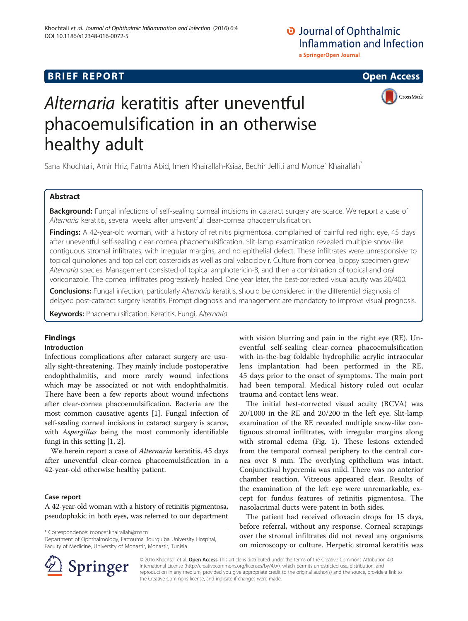# O Journal of Ophthalmic **Inflammation and Infection** a SpringerOpen Journal

# **BRIEF REPORT CONSTRUCTION CONSTRUCTION CONSTRUCTS**

CrossMark



Sana Khochtali, Amir Hriz, Fatma Abid, Imen Khairallah-Ksiaa, Bechir Jelliti and Moncef Khairallah\*

## Abstract

Background: Fungal infections of self-sealing corneal incisions in cataract surgery are scarce. We report a case of Alternaria keratitis, several weeks after uneventful clear-cornea phacoemulsification.

Findings: A 42-year-old woman, with a history of retinitis pigmentosa, complained of painful red right eye, 45 days after uneventful self-sealing clear-cornea phacoemulsification. Slit-lamp examination revealed multiple snow-like contiguous stromal infiltrates, with irregular margins, and no epithelial defect. These infiltrates were unresponsive to topical quinolones and topical corticosteroids as well as oral valaciclovir. Culture from corneal biopsy specimen grew Alternaria species. Management consisted of topical amphotericin-B, and then a combination of topical and oral voriconazole. The corneal infiltrates progressively healed. One year later, the best-corrected visual acuity was 20/400.

Conclusions: Fungal infection, particularly Alternaria keratitis, should be considered in the differential diagnosis of delayed post-cataract surgery keratitis. Prompt diagnosis and management are mandatory to improve visual prognosis.

Keywords: Phacoemulsification, Keratitis, Fungi, Alternaria

# Findings

## Introduction

Infectious complications after cataract surgery are usually sight-threatening. They mainly include postoperative endophthalmitis, and more rarely wound infections which may be associated or not with endophthalmitis. There have been a few reports about wound infections after clear-cornea phacoemulsification. Bacteria are the most common causative agents [\[1](#page-2-0)]. Fungal infection of self-sealing corneal incisions in cataract surgery is scarce, with Aspergillus being the most commonly identifiable fungi in this setting [[1](#page-2-0), [2](#page-2-0)].

We herein report a case of *Alternaria* keratitis, 45 days after uneventful clear-cornea phacoemulsification in a 42-year-old otherwise healthy patient.

### Case report

A 42-year-old woman with a history of retinitis pigmentosa, pseudophakic in both eyes, was referred to our department

\* Correspondence: [moncef.khairallah@rns.tn](mailto:moncef.khairallah@rns.tn)

Department of Ophthalmology, Fattouma Bourguiba University Hospital, Faculty of Medicine, University of Monastir, Monastir, Tunisia

with vision blurring and pain in the right eye (RE). Uneventful self-sealing clear-cornea phacoemulsification with in-the-bag foldable hydrophilic acrylic intraocular lens implantation had been performed in the RE, 45 days prior to the onset of symptoms. The main port had been temporal. Medical history ruled out ocular trauma and contact lens wear.

The initial best-corrected visual acuity (BCVA) was 20/1000 in the RE and 20/200 in the left eye. Slit-lamp examination of the RE revealed multiple snow-like contiguous stromal infiltrates, with irregular margins along with stromal edema (Fig. [1](#page-1-0)). These lesions extended from the temporal corneal periphery to the central cornea over 8 mm. The overlying epithelium was intact. Conjunctival hyperemia was mild. There was no anterior chamber reaction. Vitreous appeared clear. Results of the examination of the left eye were unremarkable, except for fundus features of retinitis pigmentosa. The nasolacrimal ducts were patent in both sides.

The patient had received ofloxacin drops for 15 days, before referral, without any response. Corneal scrapings over the stromal infiltrates did not reveal any organisms on microscopy or culture. Herpetic stromal keratitis was



© 2016 Khochtali et al. Open Access This article is distributed under the terms of the Creative Commons Attribution 4.0 International License ([http://creativecommons.org/licenses/by/4.0/\)](http://creativecommons.org/licenses/by/4.0/), which permits unrestricted use, distribution, and reproduction in any medium, provided you give appropriate credit to the original author(s) and the source, provide a link to the Creative Commons license, and indicate if changes were made.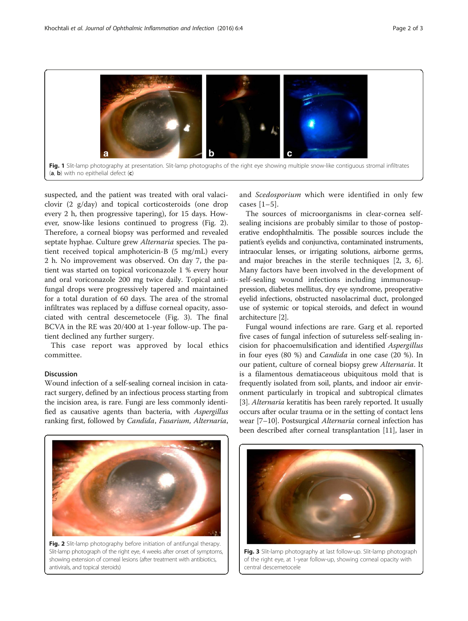<span id="page-1-0"></span>

suspected, and the patient was treated with oral valaciclovir (2 g/day) and topical corticosteroids (one drop every 2 h, then progressive tapering), for 15 days. However, snow-like lesions continued to progress (Fig. 2). Therefore, a corneal biopsy was performed and revealed septate hyphae. Culture grew *Alternaria* species. The patient received topical amphotericin-B (5 mg/mL) every 2 h. No improvement was observed. On day 7, the patient was started on topical voriconazole 1 % every hour and oral voriconazole 200 mg twice daily. Topical antifungal drops were progressively tapered and maintained for a total duration of 60 days. The area of the stromal infiltrates was replaced by a diffuse corneal opacity, associated with central descemetocele (Fig. 3). The final BCVA in the RE was 20/400 at 1-year follow-up. The patient declined any further surgery.

This case report was approved by local ethics committee.

### Discussion

Wound infection of a self-sealing corneal incision in cataract surgery, defined by an infectious process starting from the incision area, is rare. Fungi are less commonly identified as causative agents than bacteria, with Aspergillus ranking first, followed by Candida, Fusarium, Alternaria, and Scedosporium which were identified in only few cases [[1](#page-2-0)–[5](#page-2-0)].

The sources of microorganisms in clear-cornea selfsealing incisions are probably similar to those of postoperative endophthalmitis. The possible sources include the patient's eyelids and conjunctiva, contaminated instruments, intraocular lenses, or irrigating solutions, airborne germs, and major breaches in the sterile techniques [[2, 3, 6](#page-2-0)]. Many factors have been involved in the development of self-sealing wound infections including immunosuppression, diabetes mellitus, dry eye syndrome, preoperative eyelid infections, obstructed nasolacrimal duct, prolonged use of systemic or topical steroids, and defect in wound architecture [[2](#page-2-0)].

Fungal wound infections are rare. Garg et al. reported five cases of fungal infection of sutureless self-sealing incision for phacoemulsification and identified Aspergillus in four eyes (80 %) and Candida in one case (20 %). In our patient, culture of corneal biopsy grew Alternaria. It is a filamentous dematiaceous ubiquitous mold that is frequently isolated from soil, plants, and indoor air environment particularly in tropical and subtropical climates [[3\]](#page-2-0). Alternaria keratitis has been rarely reported. It usually occurs after ocular trauma or in the setting of contact lens wear [[7](#page-2-0)–[10](#page-2-0)]. Postsurgical Alternaria corneal infection has been described after corneal transplantation [\[11\]](#page-2-0), laser in



Fig. 2 Slit-lamp photography before initiation of antifungal therapy. Slit-lamp photograph of the right eye, 4 weeks after onset of symptoms, showing extension of corneal lesions (after treatment with antibiotics, antivirals, and topical steroids)



Fig. 3 Slit-lamp photography at last follow-up. Slit-lamp photograph of the right eye, at 1-year follow-up, showing corneal opacity with central descemetocele